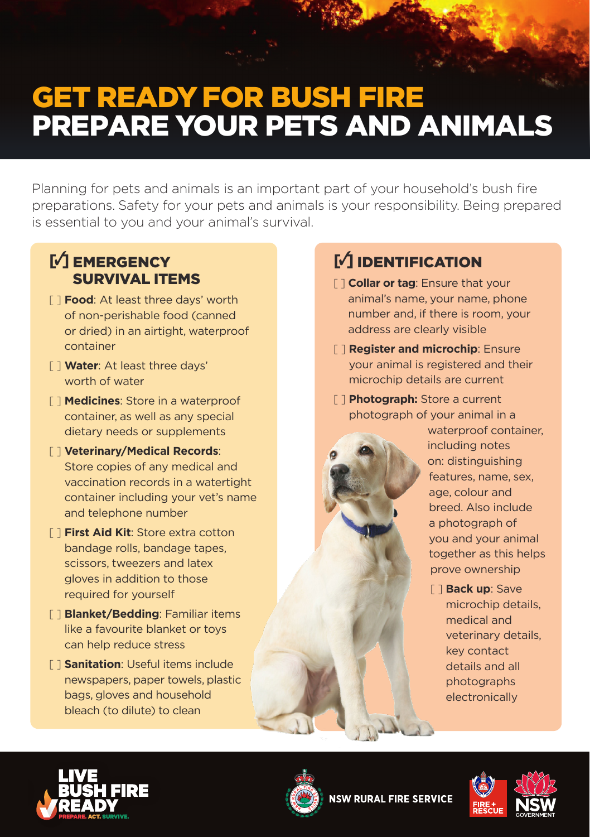# GET READY FOR BUSH FIRE PREPARE YOUR PETS AND ANIMALS

Planning for pets and animals is an important part of your household's bush fire preparations. Safety for your pets and animals is your responsibility. Being prepared is essential to you and your animal's survival.

### **[**3**]** EMERGENCY SURVIVAL ITEMS

- [ ] **Food**: At least three days' worth of non-perishable food (canned or dried) in an airtight, waterproof container
- [ ] **Water**: At least three days' worth of water
- [ ] **Medicines**: Store in a waterproof container, as well as any special dietary needs or supplements
- [ ] **Veterinary/Medical Records**: Store copies of any medical and vaccination records in a watertight container including your vet's name and telephone number
- [ ] **First Aid Kit**: Store extra cotton bandage rolls, bandage tapes, scissors, tweezers and latex gloves in addition to those required for yourself
- [ ] **Blanket/Bedding**: Familiar items like a favourite blanket or toys can help reduce stress
- [ ] **Sanitation**: Useful items include newspapers, paper towels, plastic bags, gloves and household bleach (to dilute) to clean

# **[**3**]** IDENTIFICATION

- [ ] **Collar or tag**: Ensure that your animal's name, your name, phone number and, if there is room, your address are clearly visible
- [ ] **Register and microchip**: Ensure your animal is registered and their microchip details are current
- [ ] **Photograph:** Store a current photograph of your animal in a

waterproof container. including notes on: distinguishing features, name, sex, age, colour and breed. Also include a photograph of you and your animal together as this helps prove ownership

[ ] **Back up**: Save microchip details, medical and veterinary details, key contact details and all photographs electronically